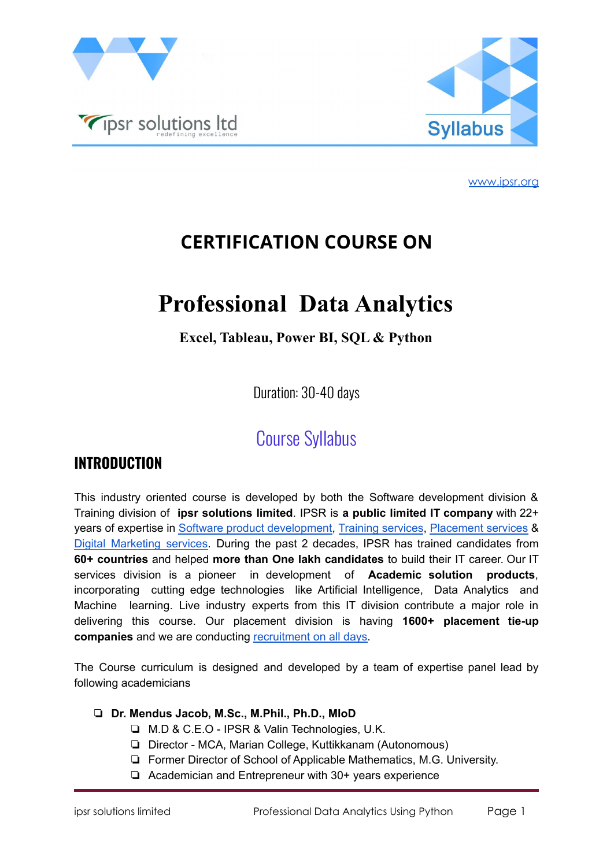



# **CERTIFICATION COURSE ON**

# **Professional Data Analytics**

**Excel, Tableau, Power BI, SQL & Python**

Duration: 30-40 days

# Course Syllabus

# **INTRODUCTION**

This industry oriented course is developed by both the Software development division & Training division of **ipsr solutions limited**. IPSR is **a public limited IT company** with 22+ years of expertise in Software product [development,](https://ipsrsolutions.com/) Training [services](https://www.ipsr.org), [Placement](http://www.ipsrjobs.com/homes/new_home) services & Digital [Marketing](https://ipsrsolutions.com/digital-marketing/) services. During the past 2 decades, IPSR has trained candidates from **60+ countries** and helped **more than One lakh candidates** to build their IT career. Our IT services division is a pioneer in development of **Academic solution products**, incorporating cutting edge technologies like Artificial Intelligence, Data Analytics and Machine learning. Live industry experts from this IT division contribute a major role in delivering this course. Our placement division is having **1600+ placement tie-up companies** and we are conducting **[recruitment](https://www.ipsr.org/job-a-day.html)** on all days.

The Course curriculum is designed and developed by a team of expertise panel lead by following academicians

- ❏ **Dr. Mendus Jacob, M.Sc., M.Phil., Ph.D., MIoD**
	- ❏ M.D & C.E.O IPSR & Valin Technologies, U.K.
	- ❏ Director MCA, Marian College, Kuttikkanam (Autonomous)
	- ❏ Former Director of School of Applicable Mathematics, M.G. University.
	- ❏ Academician and Entrepreneur with 30+ years experience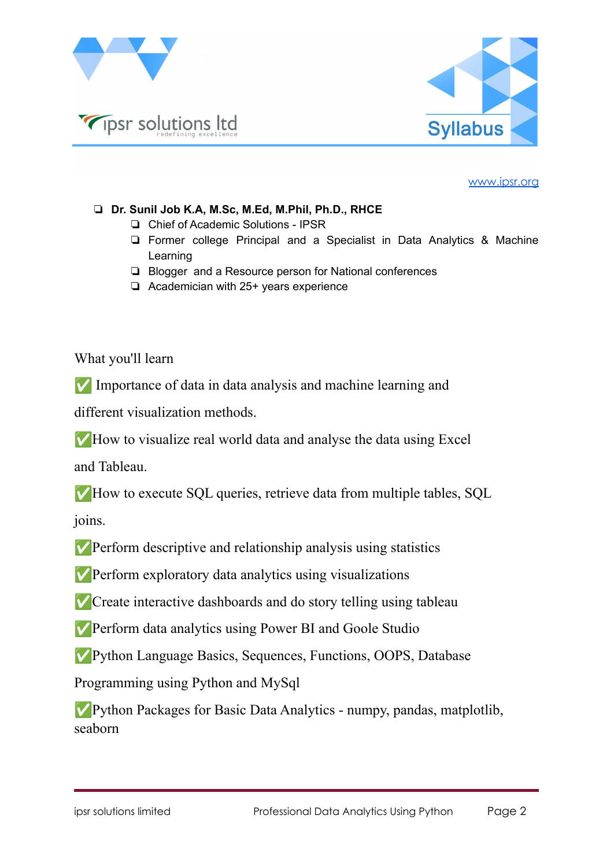

Tipsr solutions Itd



[www.ipsr.org](http://www.ipsr.org)

### ❏ **Dr. Sunil Job K.A, M.Sc, M.Ed, M.Phil, Ph.D., RHCE**

- ❏ Chief of Academic Solutions IPSR
- ❏ Former college Principal and a Specialist in Data Analytics & Machine Learning
- ❏ Blogger and a Resource person for National conferences
- ❏ Academician with 25+ years experience

What you'll learn

✅ Importance of data in data analysis and machine learning and

different visualization methods.

✅How to visualize real world data and analyse the data using Excel

and Tableau.

✅How to execute SQL queries, retrieve data from multiple tables, SQL

joins.

✅Perform descriptive and relationship analysis using statistics

✅Perform exploratory data analytics using visualizations

✅Create interactive dashboards and do story telling using tableau

✅Perform data analytics using Power BI and Goole Studio

✅Python Language Basics, Sequences, Functions, OOPS, Database

Programming using Python and MySql

✅Python Packages for Basic Data Analytics - numpy, pandas, matplotlib, seaborn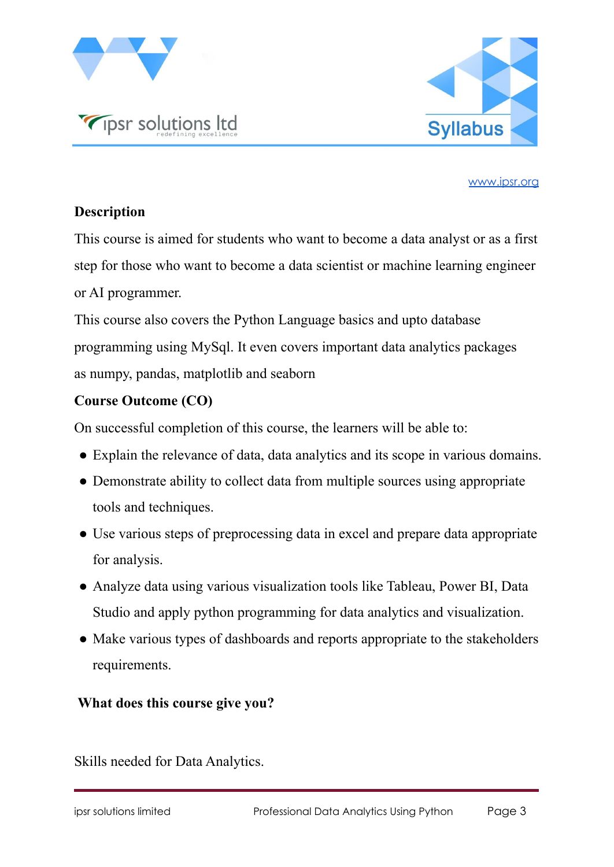



# **Description**

This course is aimed for students who want to become a data analyst or as a first step for those who want to become a data scientist or machine learning engineer or AI programmer.

This course also covers the Python Language basics and upto database programming using MySql. It even covers important data analytics packages as numpy, pandas, matplotlib and seaborn

# **Course Outcome (CO)**

On successful completion of this course, the learners will be able to:

- Explain the relevance of data, data analytics and its scope in various domains.
- Demonstrate ability to collect data from multiple sources using appropriate tools and techniques.
- Use various steps of preprocessing data in excel and prepare data appropriate for analysis.
- Analyze data using various visualization tools like Tableau, Power BI, Data Studio and apply python programming for data analytics and visualization.
- Make various types of dashboards and reports appropriate to the stakeholders requirements.

# **What does this course give you?**

Skills needed for Data Analytics.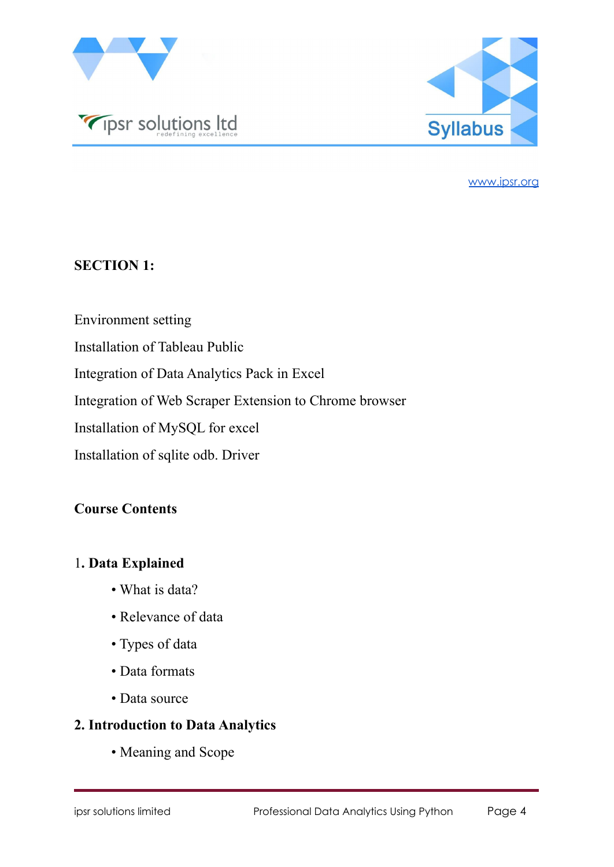



### **SECTION 1:**

- Environment setting
- Installation of Tableau Public
- Integration of Data Analytics Pack in Excel

Integration of Web Scraper Extension to Chrome browser

Installation of MySQL for excel

Installation of sqlite odb. Driver

### **Course Contents**

## 1**. Data Explained**

- What is data?
- Relevance of data
- Types of data
- Data formats
- Data source

# **2. Introduction to Data Analytics**

• Meaning and Scope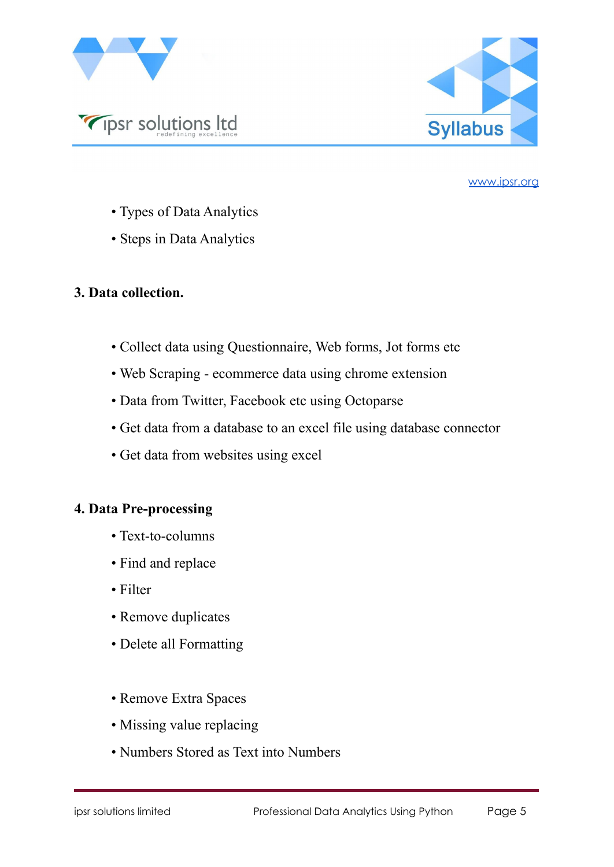



- Types of Data Analytics
- Steps in Data Analytics

### **3. Data collection.**

- Collect data using Questionnaire, Web forms, Jot forms etc
- Web Scraping ecommerce data using chrome extension
- Data from Twitter, Facebook etc using Octoparse
- Get data from a database to an excel file using database connector
- Get data from websites using excel

# **4. Data Pre-processing**

- Text-to-columns
- Find and replace
- Filter
- Remove duplicates
- Delete all Formatting
- Remove Extra Spaces
- Missing value replacing
- Numbers Stored as Text into Numbers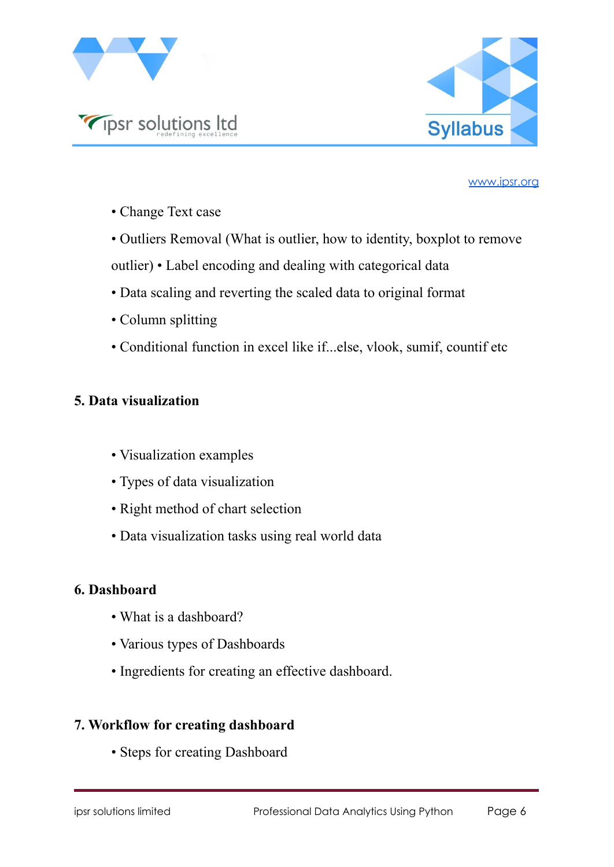



• Change Text case

• Outliers Removal (What is outlier, how to identity, boxplot to remove

- outlier) Label encoding and dealing with categorical data
- Data scaling and reverting the scaled data to original format
- Column splitting
- Conditional function in excel like if...else, vlook, sumif, countif etc

# **5. Data visualization**

- Visualization examples
- Types of data visualization
- Right method of chart selection
- Data visualization tasks using real world data

### **6. Dashboard**

- What is a dashboard?
- Various types of Dashboards
- Ingredients for creating an effective dashboard.

# **7. Workflow for creating dashboard**

• Steps for creating Dashboard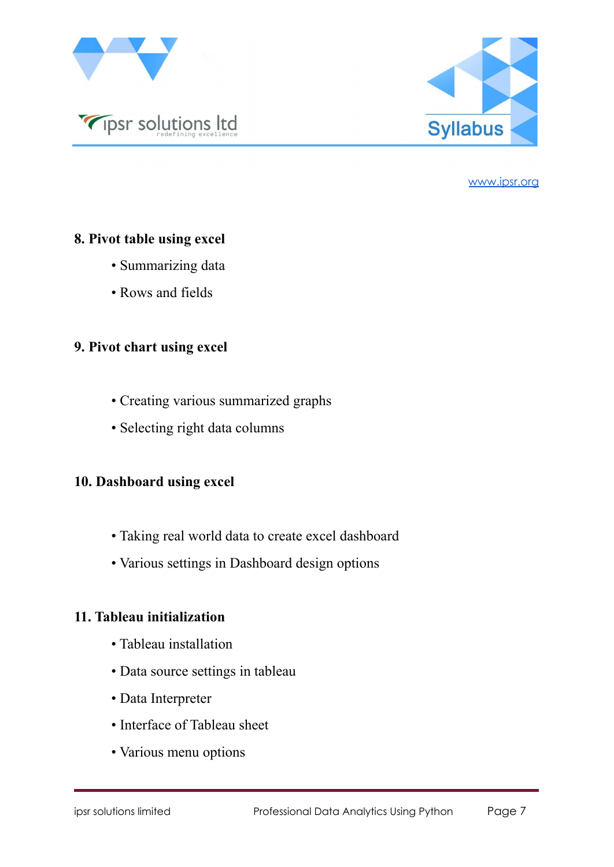



### **8. Pivot table using excel**

- Summarizing data
- Rows and fields

# **9. Pivot chart using excel**

- Creating various summarized graphs
- Selecting right data columns

# **10. Dashboard using excel**

- Taking real world data to create excel dashboard
- Various settings in Dashboard design options

### **11. Tableau initialization**

- Tableau installation
- Data source settings in tableau
- Data Interpreter
- Interface of Tableau sheet
- Various menu options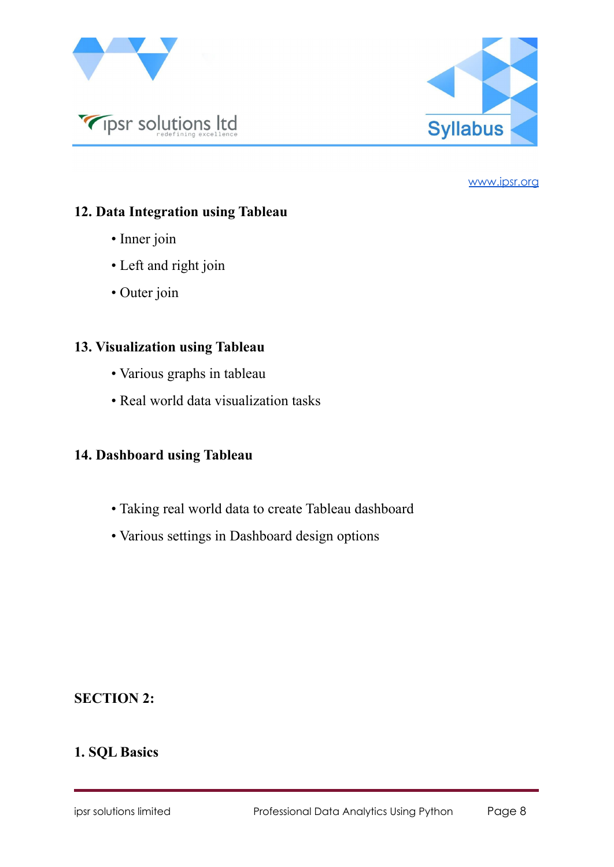



# **12. Data Integration using Tableau**

- Inner join
- Left and right join
- Outer join

# **13. Visualization using Tableau**

- Various graphs in tableau
- Real world data visualization tasks

# **14. Dashboard using Tableau**

- Taking real world data to create Tableau dashboard
- Various settings in Dashboard design options

# **SECTION 2:**

# **1. SQL Basics**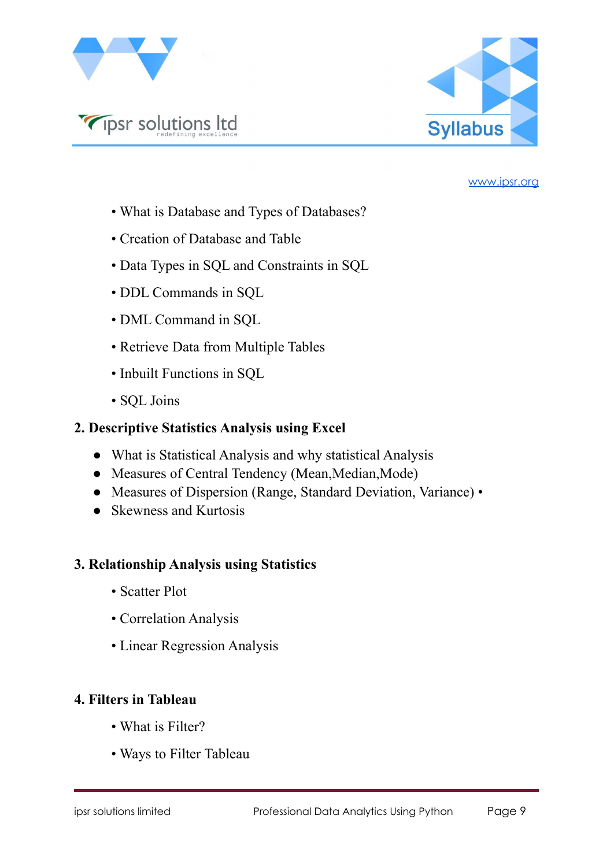

Tipsr solutions Itd



#### [www.ipsr.org](http://www.ipsr.org)

- What is Database and Types of Databases?
- Creation of Database and Table
- Data Types in SQL and Constraints in SQL
- DDL Commands in SQL
- DML Command in SQL
- Retrieve Data from Multiple Tables
- Inbuilt Functions in SQL
- SQL Joins

## **2. Descriptive Statistics Analysis using Excel**

- What is Statistical Analysis and why statistical Analysis
- Measures of Central Tendency (Mean, Median, Mode)
- Measures of Dispersion (Range, Standard Deviation, Variance) •
- Skewness and Kurtosis

### **3. Relationship Analysis using Statistics**

- Scatter Plot
- Correlation Analysis
- Linear Regression Analysis

# **4. Filters in Tableau**

- What is Filter?
- Ways to Filter Tableau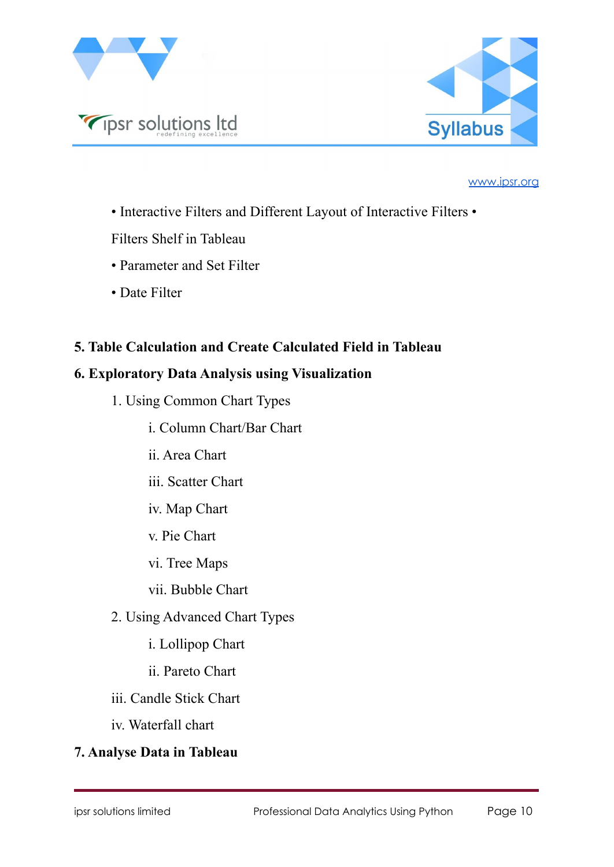



- Interactive Filters and Different Layout of Interactive Filters •
- Filters Shelf in Tableau
- Parameter and Set Filter
- Date Filter

# **5. Table Calculation and Create Calculated Field in Tableau**

### **6. Exploratory Data Analysis using Visualization**

- 1. Using Common Chart Types
	- i. Column Chart/Bar Chart
	- ii. Area Chart
	- iii. Scatter Chart
	- iv. Map Chart
	- v. Pie Chart
	- vi. Tree Maps
	- vii. Bubble Chart
- 2. Using Advanced Chart Types
	- i. Lollipop Chart
	- ii. Pareto Chart
- iii. Candle Stick Chart
- iv. Waterfall chart

# **7. Analyse Data in Tableau**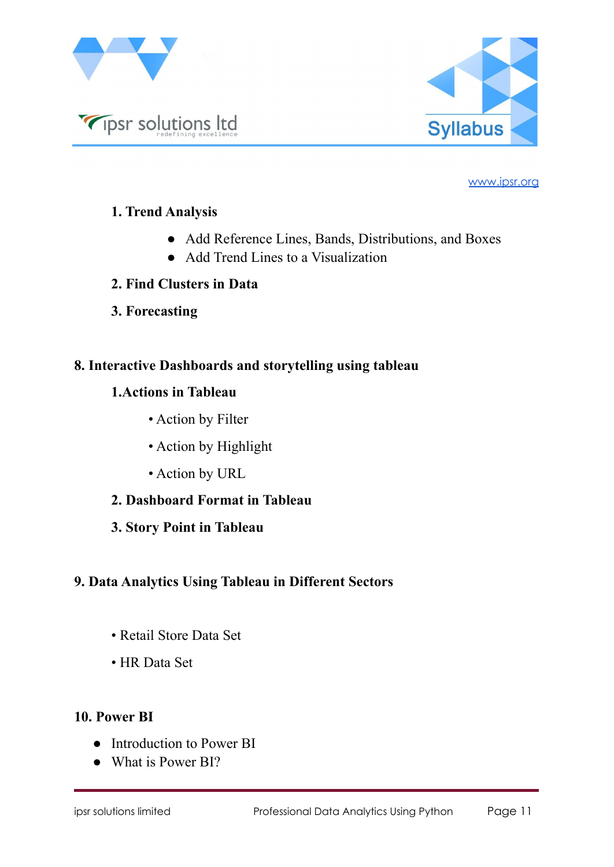



# **1. Trend Analysis**

- Add Reference Lines, Bands, Distributions, and Boxes
- Add Trend Lines to a Visualization
- **2. Find Clusters in Data**
- **3. Forecasting**

# **8. Interactive Dashboards and storytelling using tableau**

# **1.Actions in Tableau**

- Action by Filter
- Action by Highlight
- Action by URL
- **2. Dashboard Format in Tableau**
- **3. Story Point in Tableau**

# **9. Data Analytics Using Tableau in Different Sectors**

- Retail Store Data Set
- HR Data Set

### **10. Power BI**

- Introduction to Power BI
- What is Power BI?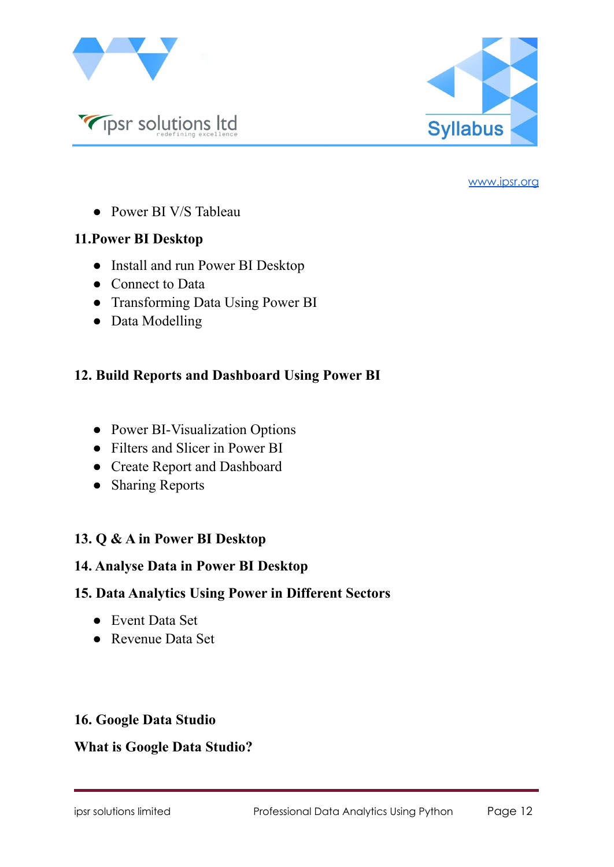



● Power BI V/S Tableau

Tipsr solutions Itd

### **11.Power BI Desktop**

- Install and run Power BI Desktop
- Connect to Data
- Transforming Data Using Power BI
- Data Modelling

# **12. Build Reports and Dashboard Using Power BI**

- Power BI-Visualization Options
- Filters and Slicer in Power BI
- Create Report and Dashboard
- Sharing Reports

# **13. Q & A in Power BI Desktop**

### **14. Analyse Data in Power BI Desktop**

### **15. Data Analytics Using Power in Different Sectors**

- Event Data Set
- Revenue Data Set

### **16. Google Data Studio**

### **What is Google Data Studio?**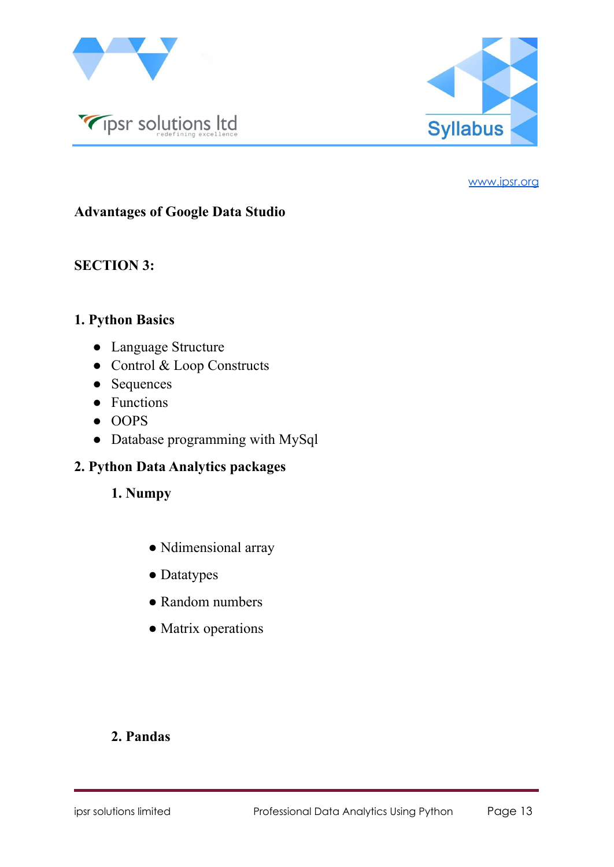



# **Advantages of Google Data Studio**

### **SECTION 3:**

### **1. Python Basics**

- Language Structure
- Control & Loop Constructs
- Sequences
- Functions
- OOPS
- Database programming with MySql

### **2. Python Data Analytics packages**

- **1. Numpy**
	- Ndimensional array
	- Datatypes
	- Random numbers
	- Matrix operations

### **2. Pandas**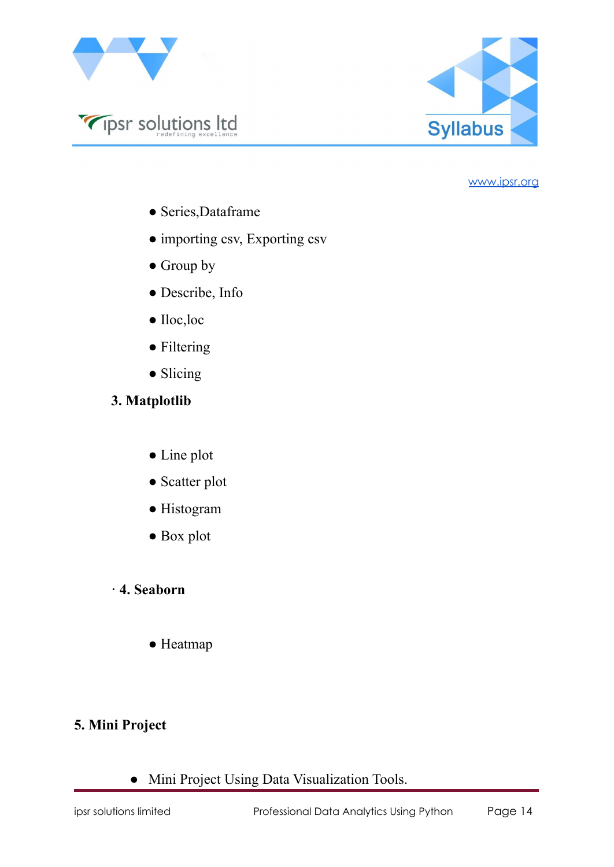

Tipsr solutions Itd



#### [www.ipsr.org](http://www.ipsr.org)

- Series,Dataframe
- importing csv, Exporting csv
- Group by
- Describe, Info
- Iloc,loc
- Filtering
- Slicing
- **3. Matplotlib**
	- Line plot
	- Scatter plot
	- Histogram
	- Box plot
- **· 4. Seaborn**
	- Heatmap

### **5. Mini Project**

● Mini Project Using Data Visualization Tools.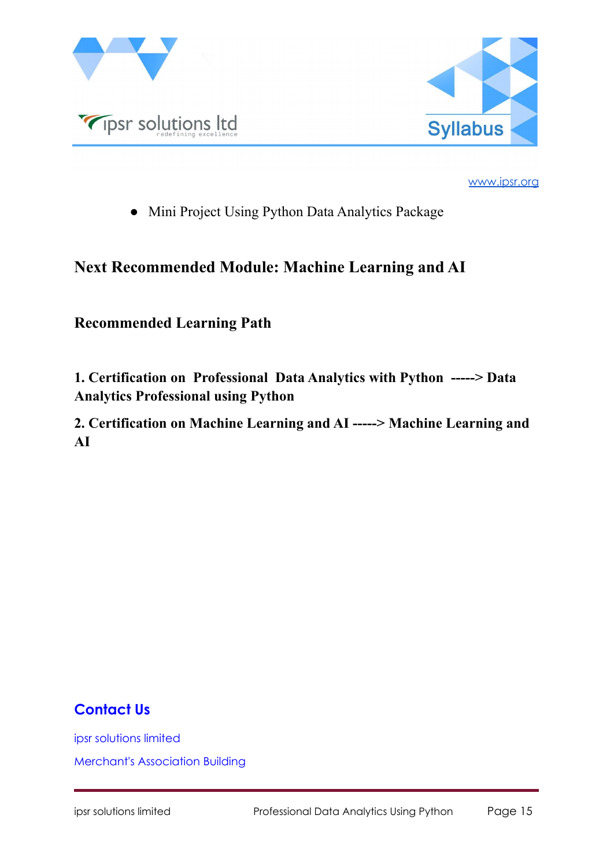



• Mini Project Using Python Data Analytics Package

# **Next Recommended Module: Machine Learning and AI**

# **Recommended Learning Path**

**1. Certification on Professional Data Analytics with Python -----> Data Analytics Professional using Python**

**2. Certification on Machine Learning and AI -----> Machine Learning and AI**

# **Contact Us**

ipsr solutions limited

Merchant's Association Building